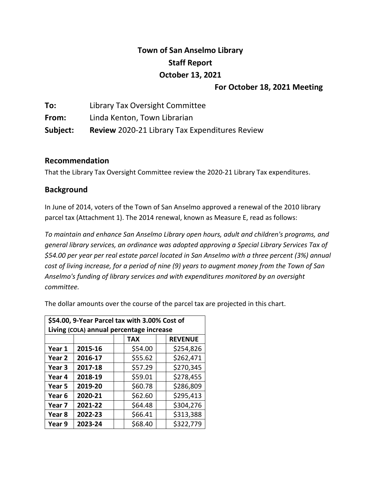# **Town of San Anselmo Library Staff Report October 13, 2021**

### **For October 18, 2021 Meeting**

**To:** Library Tax Oversight Committee **From:** Linda Kenton, Town Librarian **Subject: Review** 2020-21 Library Tax Expenditures Review

### **Recommendation**

That the Library Tax Oversight Committee review the 2020-21 Library Tax expenditures.

# **Background**

In June of 2014, voters of the Town of San Anselmo approved a renewal of the 2010 library parcel tax (Attachment 1). The 2014 renewal, known as Measure E, read as follows:

*To maintain and enhance San Anselmo Library open hours, adult and children's programs, and general library services, an ordinance was adopted approving a Special Library Services Tax of \$54.00 per year per real estate parcel located in San Anselmo with a three percent (3%) annual* cost of living increase, for a period of nine (9) years to augment money from the Town of San *Anselmo's funding of library services and with expenditures monitored by an oversight committee.*

The dollar amounts over the course of the parcel tax are projected in this chart.

| \$54.00, 9-Year Parcel tax with 3.00% Cost of |         |  |            |  |                |
|-----------------------------------------------|---------|--|------------|--|----------------|
| Living (COLA) annual percentage increase      |         |  |            |  |                |
|                                               |         |  | <b>TAX</b> |  | <b>REVENUE</b> |
| Year 1                                        | 2015-16 |  | \$54.00    |  | \$254,826      |
| Year <sub>2</sub>                             | 2016-17 |  | \$55.62    |  | \$262,471      |
| Year 3                                        | 2017-18 |  | \$57.29    |  | \$270,345      |
| Year 4                                        | 2018-19 |  | \$59.01    |  | \$278,455      |
| Year 5                                        | 2019-20 |  | \$60.78    |  | \$286,809      |
| Year <sub>6</sub>                             | 2020-21 |  | \$62.60    |  | \$295,413      |
| Year 7                                        | 2021-22 |  | \$64.48    |  | \$304,276      |
| Year 8                                        | 2022-23 |  | \$66.41    |  | \$313,388      |
| Year 9                                        | 2023-24 |  | \$68.40    |  | \$322,779      |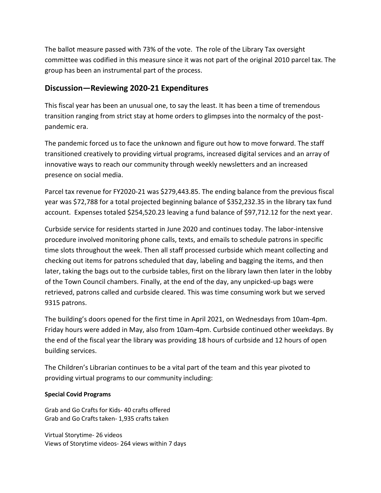The ballot measure passed with 73% of the vote. The role of the Library Tax oversight committee was codified in this measure since it was not part of the original 2010 parcel tax. The group has been an instrumental part of the process.

# **Discussion—Reviewing 2020-21 Expenditures**

This fiscal year has been an unusual one, to say the least. It has been a time of tremendous transition ranging from strict stay at home orders to glimpses into the normalcy of the postpandemic era.

The pandemic forced us to face the unknown and figure out how to move forward. The staff transitioned creatively to providing virtual programs, increased digital services and an array of innovative ways to reach our community through weekly newsletters and an increased presence on social media.

Parcel tax revenue for FY2020-21 was \$279,443.85. The ending balance from the previous fiscal year was \$72,788 for a total projected beginning balance of \$352,232.35 in the library tax fund account. Expenses totaled \$254,520.23 leaving a fund balance of \$97,712.12 for the next year.

Curbside service for residents started in June 2020 and continues today. The labor-intensive procedure involved monitoring phone calls, texts, and emails to schedule patrons in specific time slots throughout the week. Then all staff processed curbside which meant collecting and checking out items for patrons scheduled that day, labeling and bagging the items, and then later, taking the bags out to the curbside tables, first on the library lawn then later in the lobby of the Town Council chambers. Finally, at the end of the day, any unpicked-up bags were retrieved, patrons called and curbside cleared. This was time consuming work but we served 9315 patrons.

The building's doors opened for the first time in April 2021, on Wednesdays from 10am-4pm. Friday hours were added in May, also from 10am-4pm. Curbside continued other weekdays. By the end of the fiscal year the library was providing 18 hours of curbside and 12 hours of open building services.

The Children's Librarian continues to be a vital part of the team and this year pivoted to providing virtual programs to our community including:

### **Special Covid Programs**

Grab and Go Crafts for Kids- 40 crafts offered Grab and Go Crafts taken- 1,935 crafts taken

Virtual Storytime- 26 videos Views of Storytime videos- 264 views within 7 days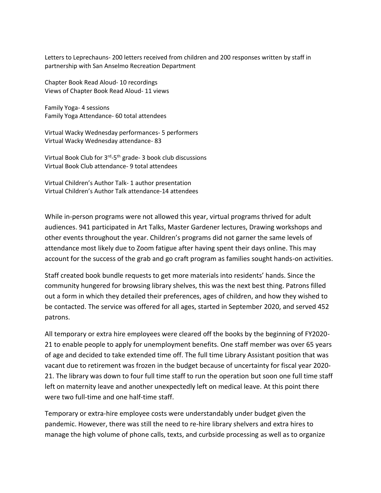Letters to Leprechauns- 200 letters received from children and 200 responses written by staff in partnership with San Anselmo Recreation Department

Chapter Book Read Aloud- 10 recordings Views of Chapter Book Read Aloud- 11 views

Family Yoga- 4 sessions Family Yoga Attendance- 60 total attendees

Virtual Wacky Wednesday performances- 5 performers Virtual Wacky Wednesday attendance- 83

Virtual Book Club for 3<sup>rd</sup>-5<sup>th</sup> grade- 3 book club discussions Virtual Book Club attendance- 9 total attendees

Virtual Children's Author Talk- 1 author presentation Virtual Children's Author Talk attendance-14 attendees

While in-person programs were not allowed this year, virtual programs thrived for adult audiences. 941 participated in Art Talks, Master Gardener lectures, Drawing workshops and other events throughout the year. Children's programs did not garner the same levels of attendance most likely due to Zoom fatigue after having spent their days online. This may account for the success of the grab and go craft program as families sought hands-on activities.

Staff created book bundle requests to get more materials into residents' hands. Since the community hungered for browsing library shelves, this was the next best thing. Patrons filled out a form in which they detailed their preferences, ages of children, and how they wished to be contacted. The service was offered for all ages, started in September 2020, and served 452 patrons.

All temporary or extra hire employees were cleared off the books by the beginning of FY2020- 21 to enable people to apply for unemployment benefits. One staff member was over 65 years of age and decided to take extended time off. The full time Library Assistant position that was vacant due to retirement was frozen in the budget because of uncertainty for fiscal year 2020- 21. The library was down to four full time staff to run the operation but soon one full time staff left on maternity leave and another unexpectedly left on medical leave. At this point there were two full-time and one half-time staff.

Temporary or extra-hire employee costs were understandably under budget given the pandemic. However, there was still the need to re-hire library shelvers and extra hires to manage the high volume of phone calls, texts, and curbside processing as well as to organize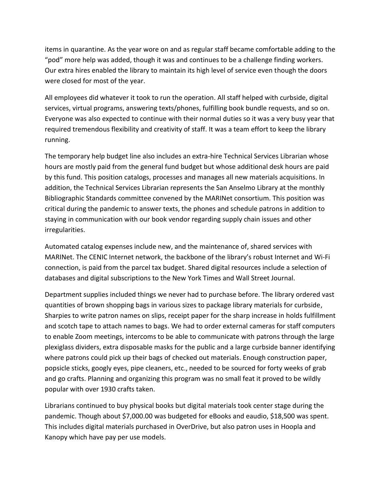items in quarantine. As the year wore on and as regular staff became comfortable adding to the "pod" more help was added, though it was and continues to be a challenge finding workers. Our extra hires enabled the library to maintain its high level of service even though the doors were closed for most of the year.

All employees did whatever it took to run the operation. All staff helped with curbside, digital services, virtual programs, answering texts/phones, fulfilling book bundle requests, and so on. Everyone was also expected to continue with their normal duties so it was a very busy year that required tremendous flexibility and creativity of staff. It was a team effort to keep the library running.

The temporary help budget line also includes an extra-hire Technical Services Librarian whose hours are mostly paid from the general fund budget but whose additional desk hours are paid by this fund. This position catalogs, processes and manages all new materials acquisitions. In addition, the Technical Services Librarian represents the San Anselmo Library at the monthly Bibliographic Standards committee convened by the MARINet consortium. This position was critical during the pandemic to answer texts, the phones and schedule patrons in addition to staying in communication with our book vendor regarding supply chain issues and other irregularities.

Automated catalog expenses include new, and the maintenance of, shared services with MARINet. The CENIC Internet network, the backbone of the library's robust Internet and Wi-Fi connection, is paid from the parcel tax budget. Shared digital resources include a selection of databases and digital subscriptions to the New York Times and Wall Street Journal.

Department supplies included things we never had to purchase before. The library ordered vast quantities of brown shopping bags in various sizes to package library materials for curbside, Sharpies to write patron names on slips, receipt paper for the sharp increase in holds fulfillment and scotch tape to attach names to bags. We had to order external cameras for staff computers to enable Zoom meetings, intercoms to be able to communicate with patrons through the large plexiglass dividers, extra disposable masks for the public and a large curbside banner identifying where patrons could pick up their bags of checked out materials. Enough construction paper, popsicle sticks, googly eyes, pipe cleaners, etc., needed to be sourced for forty weeks of grab and go crafts. Planning and organizing this program was no small feat it proved to be wildly popular with over 1930 crafts taken.

Librarians continued to buy physical books but digital materials took center stage during the pandemic. Though about \$7,000.00 was budgeted for eBooks and eaudio, \$18,500 was spent. This includes digital materials purchased in OverDrive, but also patron uses in Hoopla and Kanopy which have pay per use models.